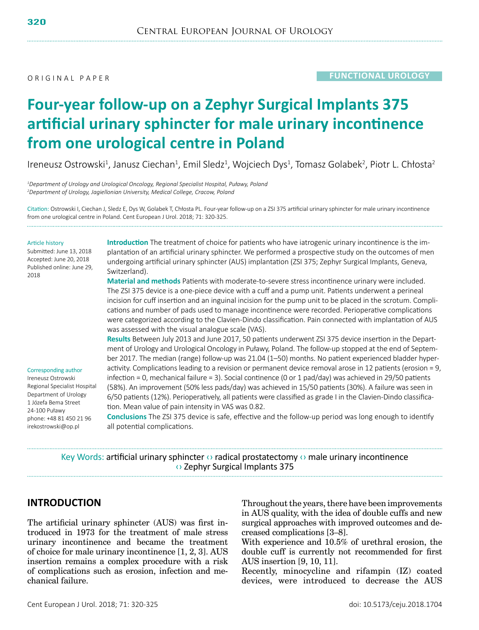O R I G I N A L P A P F R

# **Four-year follow-up on a Zephyr Surgical Implants 375 artificial urinary sphincter for male urinary incontinence from one urological centre in Poland**

Ireneusz Ostrowski<sup>1</sup>, Janusz Ciechan<sup>1</sup>, Emil Sledz<sup>1</sup>, Wojciech Dys<sup>1</sup>, Tomasz Golabek<sup>2</sup>, Piotr L. Chłosta<sup>2</sup>

*1 Department of Urology and Urological Oncology, Regional Specialist Hospital, Puławy, Poland 2 Department of Urology, Jagiellonian University, Medical College, Cracow, Poland*

Citation: Ostrowski I, Ciechan J, Sledz E, Dys W, Golabek T, Chłosta PL. Four-year follow-up on a ZSI 375 artificial urinary sphincter for male urinary incontinence from one urological centre in Poland. Cent European J Urol. 2018; 71: 320-325.

#### Article history

Submitted: June 13, 2018 Accepted: June 20, 2018 Published online: June 29, 2018

**Introduction** The treatment of choice for patients who have iatrogenic urinary incontinence is the implantation of an artificial urinary sphincter. We performed a prospective study on the outcomes of men undergoing artificial urinary sphincter (AUS) implantation (ZSI 375; Zephyr Surgical Implants, Geneva, Switzerland).

**Material and methods** Patients with moderate-to-severe stress incontinence urinary were included. The ZSI 375 device is a one-piece device with a cuff and a pump unit. Patients underwent a perineal incision for cuff insertion and an inguinal incision for the pump unit to be placed in the scrotum. Complications and number of pads used to manage incontinence were recorded. Perioperative complications were categorized according to the Clavien-Dindo classification. Pain connected with implantation of AUS was assessed with the visual analogue scale (VAS).

**Results** Between July 2013 and June 2017, 50 patients underwent ZSI 375 device insertion in the Depart-

#### Corresponding author

Ireneusz Ostrowski Regional Specialist Hospital Department of Urology 1 Józefa Bema Street 24-100 Puławy phone: +48 81 450 21 96 irekostrowski@op.pl

ment of Urology and Urological Oncology in Puławy, Poland. The follow-up stopped at the end of September 2017. The median (range) follow-up was 21.04 (1–50) months. No patient experienced bladder hyperactivity. Complications leading to a revision or permanent device removal arose in 12 patients (erosion = 9, infection = 0, mechanical failure = 3). Social continence (0 or 1 pad/day) was achieved in 29/50 patients (58%). An improvement (50% less pads/day) was achieved in 15/50 patients (30%). A failure was seen in 6/50 patients (12%). Perioperatively, all patients were classified as grade I in the Clavien-Dindo classification. Mean value of pain intensity in VAS was 0.82.

**Conclusions** The ZSI 375 device is safe, effective and the follow-up period was long enough to identify all potential complications.

Key Words: artificial urinary sphincter  $\circ$  radical prostatectomy  $\circ$  male urinary incontinence ‹› Zephyr Surgical Implants 375

### **INTRODUCTION**

The artificial urinary sphincter (AUS) was first introduced in 1973 for the treatment of male stress urinary incontinence and became the treatment of choice for male urinary incontinence [1, 2, 3]. AUS insertion remains a complex procedure with a risk of complications such as erosion, infection and mechanical failure.

Throughout the years, there have been improvements in AUS quality, with the idea of double cuffs and new surgical approaches with improved outcomes and decreased complications [3–8].

With experience and 10.5% of urethral erosion, the double cuff is currently not recommended for first AUS insertion [9, 10, 11].

Recently, minocycline and rifampin (IZ) coated devices, were introduced to decrease the AUS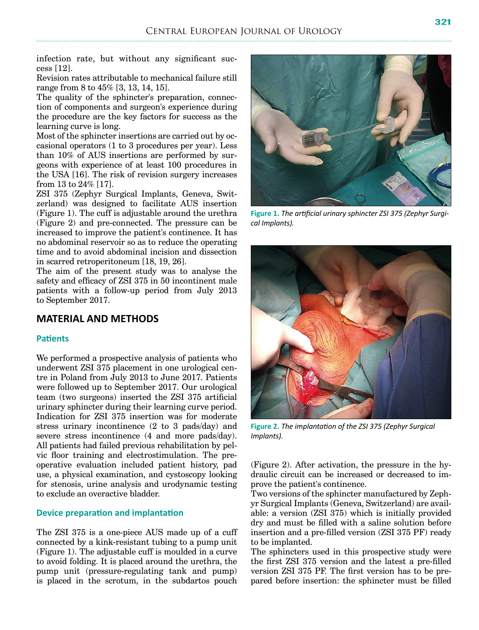infection rate, but without any significant success [12].

Revision rates attributable to mechanical failure still range from 8 to 45% [3, 13, 14, 15].

The quality of the sphincter's preparation, connection of components and surgeon's experience during the procedure are the key factors for success as the learning curve is long.

Most of the sphincter insertions are carried out by occasional operators (1 to 3 procedures per year). Less than 10% of AUS insertions are performed by surgeons with experience of at least 100 procedures in the USA [16]. The risk of revision surgery increases from 13 to 24% [17].

ZSI 375 (Zephyr Surgical Implants, Geneva, Switzerland) was designed to facilitate AUS insertion (Figure 1). The cuff is adjustable around the urethra (Figure 2) and pre-connected. The pressure can be increased to improve the patient's continence. It has no abdominal reservoir so as to reduce the operating time and to avoid abdominal incision and dissection in scarred retroperitoneum [18, 19, 26].

The aim of the present study was to analyse the safety and efficacy of ZSI 375 in 50 incontinent male patients with a follow-up period from July 2013 to September 2017.

### **MATERIAL AND METHODS**

### **Patients**

We performed a prospective analysis of patients who underwent ZSI 375 placement in one urological centre in Poland from July 2013 to June 2017. Patients were followed up to September 2017. Our urological team (two surgeons) inserted the ZSI 375 artificial urinary sphincter during their learning curve period. Indication for ZSI 375 insertion was for moderate stress urinary incontinence (2 to 3 pads/day) and severe stress incontinence (4 and more pads/day). All patients had failed previous rehabilitation by pelvic floor training and electrostimulation. The preoperative evaluation included patient history, pad use, a physical examination, and cystoscopy looking for stenosis, urine analysis and urodynamic testing to exclude an overactive bladder.

### **Device preparation and implantation**

The ZSI 375 is a one-piece AUS made up of a cuff connected by a kink-resistant tubing to a pump unit (Figure 1). The adjustable cuff is moulded in a curve to avoid folding. It is placed around the urethra, the pump unit (pressure-regulating tank and pump) is placed in the scrotum, in the subdartos pouch

*cal Implants).*

**Figure 2.** *The implantation of the ZSI 375 (Zephyr Surgical Implants).*

(Figure 2). After activation, the pressure in the hydraulic circuit can be increased or decreased to improve the patient's continence.

Two versions of the sphincter manufactured by Zephyr Surgical Implants (Geneva, Switzerland) are available: a version (ZSI 375) which is initially provided dry and must be filled with a saline solution before insertion and a pre-filled version (ZSI 375 PF) ready to be implanted.

The sphincters used in this prospective study were the first ZSI 375 version and the latest a pre-filled version ZSI 375 PF. The first version has to be prepared before insertion: the sphincter must be filled

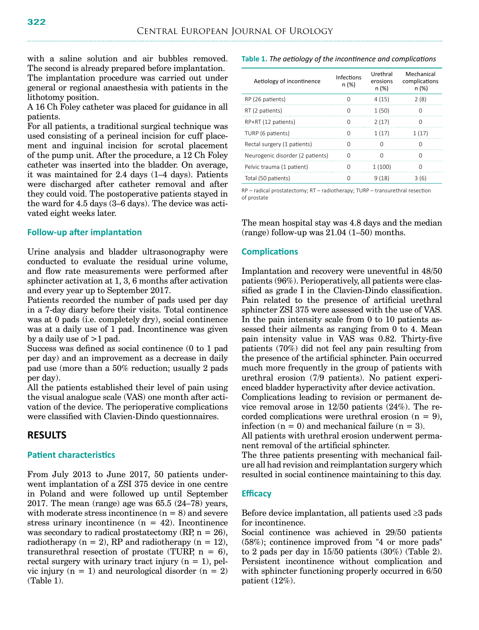with a saline solution and air bubbles removed. The second is already prepared before implantation.

The implantation procedure was carried out under general or regional anaesthesia with patients in the lithotomy position.

A 16 Ch Foley catheter was placed for guidance in all patients.

For all patients, a traditional surgical technique was used consisting of a perineal incision for cuff placement and inguinal incision for scrotal placement of the pump unit. After the procedure, a 12 Ch Foley catheter was inserted into the bladder. On average, it was maintained for 2.4 days (1–4 days). Patients were discharged after catheter removal and after they could void. The postoperative patients stayed in the ward for 4.5 days (3–6 days). The device was activated eight weeks later.

### **Follow-up after implantation**

Urine analysis and bladder ultrasonography were conducted to evaluate the residual urine volume, and flow rate measurements were performed after sphincter activation at 1, 3, 6 months after activation and every year up to September 2017.

Patients recorded the number of pads used per day in a 7-day diary before their visits. Total continence was at 0 pads (i.e. completely dry), social continence was at a daily use of 1 pad. Incontinence was given by a daily use of  $>1$  pad.

Success was defined as social continence (0 to 1 pad per day) and an improvement as a decrease in daily pad use (more than a 50% reduction; usually 2 pads per day).

All the patients established their level of pain using the visual analogue scale (VAS) one month after activation of the device. The perioperative complications were classified with Clavien-Dindo questionnaires.

### **RESULTS**

### **Patient characteristics**

From July 2013 to June 2017, 50 patients underwent implantation of a ZSI 375 device in one centre in Poland and were followed up until September 2017. The mean (range) age was 65.5 (24–78) years, with moderate stress incontinence  $(n = 8)$  and severe stress urinary incontinence  $(n = 42)$ . Incontinence was secondary to radical prostatectomy  $(RP, n = 26)$ , radiotherapy  $(n = 2)$ , RP and radiotherapy  $(n = 12)$ , transurethral resection of prostate (TURP,  $n = 6$ ), rectal surgery with urinary tract injury  $(n = 1)$ , pelvic injury  $(n = 1)$  and neurological disorder  $(n = 2)$ (Table 1).

**Table 1.** *The aetiology of the incontinence and complications*

| Aetiology of incontinence        | Infections<br>n (%) | Urethral<br>erosions<br>n (%) | Mechanical<br>complications<br>n (%) |
|----------------------------------|---------------------|-------------------------------|--------------------------------------|
| RP (26 patients)                 | O                   | 4(15)                         | 2(8)                                 |
| RT (2 patients)                  | O                   | 1(50)                         | O                                    |
| RP+RT (12 patients)              | O                   | 2(17)                         | O                                    |
| TURP (6 patients)                | O                   | 1(17)                         | 1(17)                                |
| Rectal surgery (1 patients)      | O                   | O                             | O                                    |
| Neurogenic disorder (2 patients) | O                   | O                             | O                                    |
| Pelvic trauma (1 patient)        | 0                   | 1(100)                        | O                                    |
| Total (50 patients)              | U                   | 9(18)                         | 3(6)                                 |

RP – radical prostatectomy; RT – radiotherapy; TURP – transurethral resection of prostate

The mean hospital stay was 4.8 days and the median  $(\text{range})$  follow-up was  $21.04$   $(1-50)$  months.

### **Complications**

Implantation and recovery were uneventful in 48/50 patients (96%). Perioperatively, all patients were classified as grade I in the Clavien-Dindo classification. Pain related to the presence of artificial urethral sphincter ZSI 375 were assessed with the use of VAS. In the pain intensity scale from 0 to 10 patients assessed their ailments as ranging from 0 to 4. Mean pain intensity value in VAS was 0.82. Thirty-five patients (70%) did not feel any pain resulting from the presence of the artificial sphincter. Pain occurred much more frequently in the group of patients with urethral erosion (7/9 patients). No patient experienced bladder hyperactivity after device activation. Complications leading to revision or permanent device removal arose in 12/50 patients (24%). The recorded complications were urethral erosion  $(n = 9)$ ,

infection  $(n = 0)$  and mechanical failure  $(n = 3)$ . All patients with urethral erosion underwent perma-

nent removal of the artificial sphincter. The three patients presenting with mechanical failure all had revision and reimplantation surgery which resulted in social continence maintaining to this day.

### **Efficacy**

Before device implantation, all patients used  $\geq$ 3 pads for incontinence.

Social continence was achieved in 29/50 patients (58%); continence improved from "4 or more pads" to 2 pads per day in 15/50 patients (30%) (Table 2). Persistent incontinence without complication and with sphincter functioning properly occurred in 6/50 patient (12%).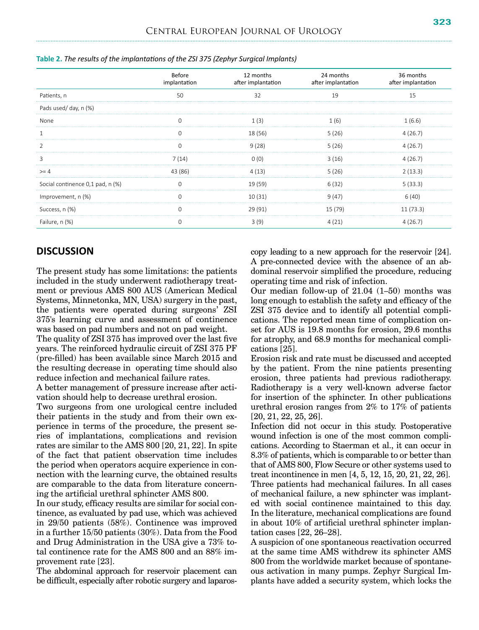|                                  | Before<br>implantation | 12 months<br>after implantation | 24 months<br>after implantation | 36 months<br>after implantation |
|----------------------------------|------------------------|---------------------------------|---------------------------------|---------------------------------|
| Patients, n                      | 50                     | 32                              | 19                              |                                 |
| Pads used/day, n (%)             |                        |                                 |                                 |                                 |
| None                             |                        |                                 | 1 (6)                           | 1 (6.6)                         |
|                                  |                        | 18 (56)                         | 5(26)                           | 4 (26.7)                        |
|                                  |                        | 9(28)                           | 5(26)                           | 4 (26.7)                        |
| ξ                                | 7 (14)                 |                                 | 3(16)                           | 4 (26.7)                        |
| $>= 4$                           | 43 (86)                | 4 (13)                          | 5(26)                           | 2(13.3)                         |
| Social continence 0,1 pad, n (%) |                        | 19 (59)                         | 6(32)                           | 5(33.3)                         |
| Improvement, n (%)               |                        | 10(31)                          | 9(47)                           | 6(40)                           |
| Success, n (%)                   |                        | 29 (91)                         | 15 (79)                         | 11(73.3)                        |
| Failure, n (%)                   |                        |                                 |                                 |                                 |

**Table 2.** *The results of the implantations of the ZSI 375 (Zephyr Surgical Implants)*

### **DISCUSSION**

The present study has some limitations: the patients included in the study underwent radiotherapy treatment or previous AMS 800 AUS (American Medical Systems, Minnetonka, MN, USA) surgery in the past, the patients were operated during surgeons' ZSI 375's learning curve and assessment of continence was based on pad numbers and not on pad weight.

The quality of ZSI 375 has improved over the last five years. The reinforced hydraulic circuit of ZSI 375 PF (pre-filled) has been available since March 2015 and the resulting decrease in operating time should also reduce infection and mechanical failure rates.

A better management of pressure increase after activation should help to decrease urethral erosion.

Two surgeons from one urological centre included their patients in the study and from their own experience in terms of the procedure, the present series of implantations, complications and revision rates are similar to the AMS 800 [20, 21, 22]. In spite of the fact that patient observation time includes the period when operators acquire experience in connection with the learning curve, the obtained results are comparable to the data from literature concerning the artificial urethral sphincter AMS 800.

In our study, efficacy results are similar for social continence, as evaluated by pad use, which was achieved in 29/50 patients (58%). Continence was improved in a further 15/50 patients (30%). Data from the Food and Drug Administration in the USA give a 73% total continence rate for the AMS 800 and an 88% improvement rate [23].

The abdominal approach for reservoir placement can be difficult, especially after robotic surgery and laparoscopy leading to a new approach for the reservoir [24]. A pre-connected device with the absence of an abdominal reservoir simplified the procedure, reducing operating time and risk of infection.

Our median follow-up of 21.04 (1–50) months was long enough to establish the safety and efficacy of the ZSI 375 device and to identify all potential complications. The reported mean time of complication onset for AUS is 19.8 months for erosion, 29.6 months for atrophy, and 68.9 months for mechanical complications [25].

Erosion risk and rate must be discussed and accepted by the patient. From the nine patients presenting erosion, three patients had previous radiotherapy. Radiotherapy is a very well-known adverse factor for insertion of the sphincter. In other publications urethral erosion ranges from 2% to 17% of patients [20, 21, 22, 25, 26].

Infection did not occur in this study. Postoperative wound infection is one of the most common complications. According to Staerman et al., it can occur in 8.3% of patients, which is comparable to or better than that of AMS 800, Flow Secure or other systems used to treat incontinence in men [4, 5, 12, 15, 20, 21, 22, 26]. Three patients had mechanical failures. In all cases of mechanical failure, a new sphincter was implanted with social continence maintained to this day. In the literature, mechanical complications are found in about 10% of artificial urethral sphincter implantation cases [22, 26–28].

A suspicion of one spontaneous reactivation occurred at the same time AMS withdrew its sphincter AMS 800 from the worldwide market because of spontaneous activation in many pumps. Zephyr Surgical Implants have added a security system, which locks the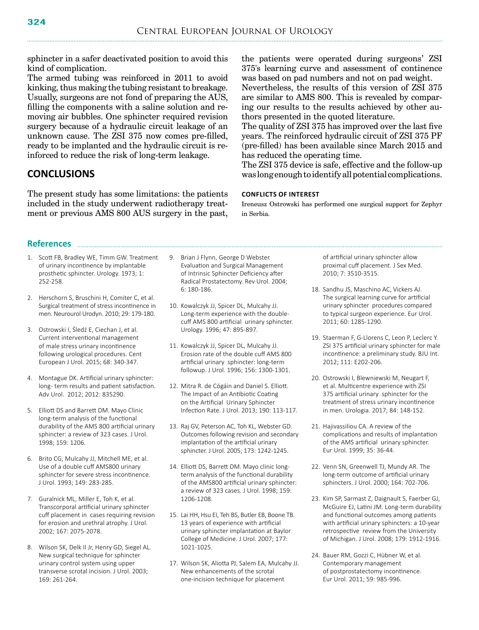sphincter in a safer deactivated position to avoid this kind of complication.

The armed tubing was reinforced in 2011 to avoid kinking, thus making the tubing resistant to breakage. Usually, surgeons are not fond of preparing the AUS, filling the components with a saline solution and removing air bubbles. One sphincter required revision surgery because of a hydraulic circuit leakage of an unknown cause. The ZSI 375 now comes pre-filled, ready to be implanted and the hydraulic circuit is reinforced to reduce the risk of long-term leakage.

### **CONCLUSIONS**

The present study has some limitations: the patients included in the study underwent radiotherapy treatment or previous AMS 800 AUS surgery in the past, the patients were operated during surgeons' ZSI 375's learning curve and assessment of continence was based on pad numbers and not on pad weight.

Nevertheless, the results of this version of ZSI 375 are similar to AMS 800. This is revealed by comparing our results to the results achieved by other authors presented in the quoted literature.

The quality of ZSI 375 has improved over the last five years. The reinforced hydraulic circuit of ZSI 375 PF (pre-filled) has been available since March 2015 and has reduced the operating time.

The ZSI 375 device is safe, effective and the follow-up was long enough to identify all potential complications.

#### **Conflicts of interest**

Ireneusz Ostrowski has performed one surgical support for Zephyr in Serbia.

## **References**

- 1. Scott FB, Bradley WE, Timm GW. Treatment of urinary incontinence by implantable prosthetic sphincter. Urology. 1973; 1: 252-258.
- 2. Herschorn S, Bruschini H, Comiter C, et al. Surgical treatment of stress incontinence in men. Neurourol Urodyn. 2010; 29: 179-180.
- 3. Ostrowski I, Śledź E, Ciechan J, et al. Current interventional management of male stress urinary incontinence following urological procedures. Cent European J Urol. 2015; 68: 340-347.
- 4. Montague DK. Artificial urinary sphincter: long- term results and patient satisfaction. Adv Urol. 2012; 2012: 835290.
- 5. Elliott DS and Barrett DM. Mayo Clinic long-term analysis of the functional durability of the AMS 800 artificial urinary sphincter: a review of 323 cases. J Urol. 1998; 159: 1206.
- 6. Brito CG, Mulcahy JJ, Mitchell ME, et al. Use of a double cuff AMS800 urinary sphincter for severe stress incontinence. J Urol. 1993; 149: 283-285.
- 7. Guralnick ML, Miller E, Toh K, et al. Transcorporal artificial urinary sphincter cuff placement in cases requiring revision for erosion and urethral atrophy. J Urol. 2002; 167: 2075-2078.
- 8. Wilson SK, Delk II Jr, Henry GD, Siegel AL. New surgical technique for sphincter urinary control system using upper transverse scrotal incision. J Urol. 2003; 169: 261-264.
- 9. Brian J Flynn, George D Webster. Evaluation and Surgical Management of Intrinsic Sphincter Deficiency after Radical Prostatectomy. Rev Urol. 2004; 6: 180-186.
- 10. Kowalczyk JJ, Spicer DL, Mulcahy JJ. Long-term experience with the doublecuff AMS 800 artificial urinary sphincter. Urology. 1996; 47: 895-897.
- 11. Kowalczyk JJ, Spicer DL, Mulcahy JJ. Erosion rate of the double cuff AMS 800 artificial urinary sphincter: long-term followup. J Urol. 1996; 156: 1300-1301.
- 12. Mitra R. de Cógáin and Daniel S. Elliott. The Impact of an Antibiotic Coating on the Artificial Urinary Sphincter Infection Rate. J Urol. 2013; 190: 113-117.
- 13. Raj GV, Peterson AC, Toh KL, Webster GD. Outcomes following revision and secondary implantation of the artificial urinary sphincter. J Urol. 2005; 173: 1242-1245.
- 14. Elliott DS, Barrett DM. Mayo clinic longterm analysis of the functional durability of the AMS800 artificial urinary sphincter: a review of 323 cases. J Urol. 1998; 159: 1206-1208.
- 15. Lai HH, Hsu EI, Teh BS, Butler EB, Boone TB. 13 years of experience with artificial urinary sphincter implantation at Baylor College of Medicine. J Urol. 2007; 177: 1021-1025.
- 17. Wilson SK, Aliotta PJ, Salem EA, Mulcahy JJ. New enhancements of the scrotal one-incision technique for placement

of artificial urinary sphincter allow proximal cuff placement. J Sex Med. 2010; 7: 3510-3515.

- 18. Sandhu JS, Maschino AC, Vickers AJ. The surgical learning curve for artificial urinary sphincter procedures compared to typical surgeon experience. Eur Urol. 2011; 60: 1285-1290.
- 19. Staerman F, G-Llorens C, Leon P, Leclerc Y. ZSI 375 artificial urinary sphincter for male incontinence: a preliminary study. BJU Int. 2012; 111: E202-206.
- 20. Ostrowski I, Blewniewski M, Neugart F, et al. Multicentre experience with ZSI 375 artificial urinary sphincter for the treatment of stress urinary incontinence in men. Urologia. 2017; 84: 148-152.
- 21. Hajivassiliou CA. A review of the complications and results of implantation of the AMS artificial urinary sphincter. Eur Urol. 1999; 35: 36-44.
- 22. Venn SN, Greenwell TJ, Mundy AR. The long-term outcome of artificial urinary sphincters. J Urol. 2000; 164: 702-706.
- 23. Kim SP, Sarmast Z, Daignault S, Faerber GJ, McGuire EJ, Latini JM. Long-term durability and functional outcomes among patients with artificial urinary sphincters: a 10-year retrospective review from the University of Michigan. J Urol. 2008; 179: 1912-1916.
- 24. Bauer RM, Gozzi C, Hübner W, et al. Contemporary management of postprostatectomy incontinence. Eur Urol. 2011; 59: 985-996.